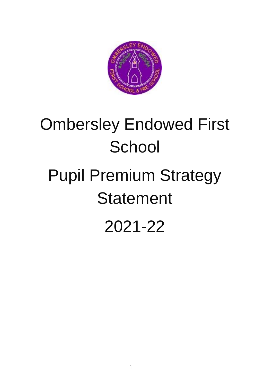

# Ombersley Endowed First **School**

# Pupil Premium Strategy **Statement**

2021-22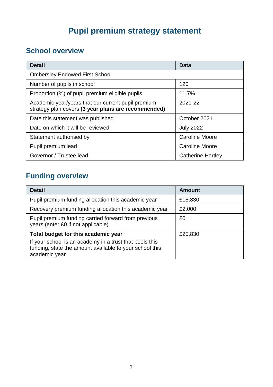# **Pupil premium strategy statement**

## **School overview**

| <b>Detail</b>                                                                                             | Data                     |
|-----------------------------------------------------------------------------------------------------------|--------------------------|
| <b>Ombersley Endowed First School</b>                                                                     |                          |
| Number of pupils in school                                                                                | 120                      |
| Proportion (%) of pupil premium eligible pupils                                                           | 11.7%                    |
| Academic year/years that our current pupil premium<br>strategy plan covers (3 year plans are recommended) | 2021-22                  |
| Date this statement was published                                                                         | October 2021             |
| Date on which it will be reviewed                                                                         | <b>July 2022</b>         |
| Statement authorised by                                                                                   | <b>Caroline Moore</b>    |
| Pupil premium lead                                                                                        | <b>Caroline Moore</b>    |
| Governor / Trustee lead                                                                                   | <b>Catherine Hartley</b> |

# **Funding overview**

| <b>Detail</b>                                                                                                                       | Amount  |
|-------------------------------------------------------------------------------------------------------------------------------------|---------|
| Pupil premium funding allocation this academic year                                                                                 | £18,830 |
| Recovery premium funding allocation this academic year                                                                              | £2,000  |
| Pupil premium funding carried forward from previous<br>years (enter £0 if not applicable)                                           | £0      |
| Total budget for this academic year                                                                                                 | £20,830 |
| If your school is an academy in a trust that pools this<br>funding, state the amount available to your school this<br>academic year |         |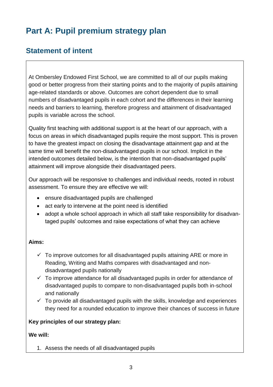# **Part A: Pupil premium strategy plan**

### **Statement of intent**

At Ombersley Endowed First School, we are committed to all of our pupils making good or better progress from their starting points and to the majority of pupils attaining age-related standards or above. Outcomes are cohort dependent due to small numbers of disadvantaged pupils in each cohort and the differences in their learning needs and barriers to learning, therefore progress and attainment of disadvantaged pupils is variable across the school.

Quality first teaching with additional support is at the heart of our approach, with a focus on areas in which disadvantaged pupils require the most support. This is proven to have the greatest impact on closing the disadvantage attainment gap and at the same time will benefit the non-disadvantaged pupils in our school. Implicit in the intended outcomes detailed below, is the intention that non-disadvantaged pupils' attainment will improve alongside their disadvantaged peers.

Our approach will be responsive to challenges and individual needs, rooted in robust assessment. To ensure they are effective we will:

- ensure disadvantaged pupils are challenged
- act early to intervene at the point need is identified
- adopt a whole school approach in which all staff take responsibility for disadvantaged pupils' outcomes and raise expectations of what they can achieve

#### **Aims:**

- $\checkmark$  To improve outcomes for all disadvantaged pupils attaining ARE or more in Reading, Writing and Maths compares with disadvantaged and nondisadvantaged pupils nationally
- $\checkmark$  To improve attendance for all disadvantaged pupils in order for attendance of disadvantaged pupils to compare to non-disadvantaged pupils both in-school and nationally
- $\checkmark$  To provide all disadvantaged pupils with the skills, knowledge and experiences they need for a rounded education to improve their chances of success in future

#### **Key principles of our strategy plan:**

#### **We will:**

1. Assess the needs of all disadvantaged pupils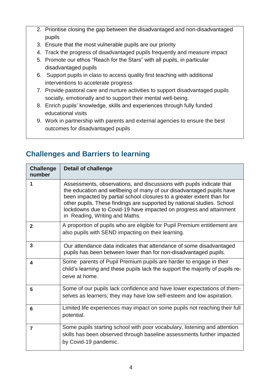- 2. Prioritise closing the gap between the disadvantaged and non-disadvantaged pupils
- 3. Ensure that the most vulnerable pupils are our priority
- 4. Track the progress of disadvantaged pupils frequently and measure impact
- 5. Promote our ethos "Reach for the Stars" with all pupils, in particular disadvantaged pupils
- 6. Support pupils in class to access quality first teaching with additional interventions to accelerate progress
- 7. Provide pastoral care and nurture activities to support disadvantaged pupils socially, emotionally and to support their mental well-being.
- 8. Enrich pupils' knowledge, skills and experiences through fully funded educational visits
- 9. Work in partnership with parents and external agencies to ensure the best outcomes for disadvantaged pupils

| <b>Challenge</b><br>number | <b>Detail of challenge</b>                                                                                                                                                                                                                                                                                                                                                                              |
|----------------------------|---------------------------------------------------------------------------------------------------------------------------------------------------------------------------------------------------------------------------------------------------------------------------------------------------------------------------------------------------------------------------------------------------------|
| 1                          | Assessments, observations, and discussions with pupils indicate that<br>the education and wellbeing of many of our disadvantaged pupils have<br>been impacted by partial school closures to a greater extent than for<br>other pupils. These findings are supported by national studies. School<br>lockdowns due to Covid-19 have impacted on progress and attainment<br>in Reading, Writing and Maths. |
| $\mathbf{2}$               | A proportion of pupils who are eligible for Pupil Premium entitlement are<br>also pupils with SEND impacting on their learning.                                                                                                                                                                                                                                                                         |
| 3                          | Our attendance data indicates that attendance of some disadvantaged<br>pupils has been between lower than for non-disadvantaged pupils.                                                                                                                                                                                                                                                                 |
| 4                          | Some parents of Pupil Premium pupils are harder to engage in their<br>child's learning and these pupils lack the support the majority of pupils re-<br>ceive at home.                                                                                                                                                                                                                                   |
| 5                          | Some of our pupils lack confidence and have lower expectations of them-<br>selves as learners; they may have low self-esteem and low aspiration.                                                                                                                                                                                                                                                        |
| 6                          | Limited life experiences may impact on some pupils not reaching their full<br>potential.                                                                                                                                                                                                                                                                                                                |
| 7                          | Some pupils starting school with poor vocabulary, listening and attention<br>skills has been observed through baseline assessments further impacted<br>by Covid-19 pandemic.                                                                                                                                                                                                                            |

## **Challenges and Barriers to learning**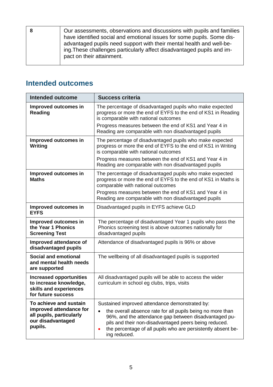|  | Our assessments, observations and discussions with pupils and families<br>have identified social and emotional issues for some pupils. Some dis-<br>advantaged pupils need support with their mental health and well-be-<br>ing. These challenges particularly affect disadvantaged pupils and im-<br>pact on their attainment. |
|--|---------------------------------------------------------------------------------------------------------------------------------------------------------------------------------------------------------------------------------------------------------------------------------------------------------------------------------|
|  |                                                                                                                                                                                                                                                                                                                                 |

## **Intended outcomes**

| <b>Intended outcome</b>                                                                                       | <b>Success criteria</b>                                                                                                                                                                                                                                                                                        |  |
|---------------------------------------------------------------------------------------------------------------|----------------------------------------------------------------------------------------------------------------------------------------------------------------------------------------------------------------------------------------------------------------------------------------------------------------|--|
| Improved outcomes in<br><b>Reading</b>                                                                        | The percentage of disadvantaged pupils who make expected<br>progress or more the end of EYFS to the end of KS1 in Reading<br>is comparable with national outcomes<br>Progress measures between the end of KS1 and Year 4 in<br>Reading are comparable with non disadvantaged pupils                            |  |
| Improved outcomes in<br>Writing                                                                               | The percentage of disadvantaged pupils who make expected<br>progress or more the end of EYFS to the end of KS1 in Writing<br>is comparable with national outcomes<br>Progress measures between the end of KS1 and Year 4 in<br>Reading are comparable with non disadvantaged pupils                            |  |
| Improved outcomes in<br><b>Maths</b>                                                                          | The percentage of disadvantaged pupils who make expected<br>progress or more the end of EYFS to the end of KS1 in Maths is<br>comparable with national outcomes<br>Progress measures between the end of KS1 and Year 4 in<br>Reading are comparable with non disadvantaged pupils                              |  |
| Improved outcomes in<br><b>EYFS</b>                                                                           | Disadvantaged pupils in EYFS achieve GLD                                                                                                                                                                                                                                                                       |  |
| Improved outcomes in<br>the Year 1 Phonics<br><b>Screening Test</b>                                           | The percentage of disadvantaged Year 1 pupils who pass the<br>Phonics screening test is above outcomes nationally for<br>disadvantaged pupils                                                                                                                                                                  |  |
| Improved attendance of<br>disadvantaged pupils                                                                | Attendance of disadvantaged pupils is 96% or above                                                                                                                                                                                                                                                             |  |
| <b>Social and emotional</b><br>and mental health needs<br>are supported                                       | The wellbeing of all disadvantaged pupils is supported                                                                                                                                                                                                                                                         |  |
| <b>Increased opportunities</b><br>to increase knowledge,<br>skills and experiences<br>for future success      | All disadvantaged pupils will be able to access the wider<br>curriculum in school eg clubs, trips, visits                                                                                                                                                                                                      |  |
| To achieve and sustain<br>improved attendance for<br>all pupils, particularly<br>our disadvantaged<br>pupils. | Sustained improved attendance demonstrated by:<br>the overall absence rate for all pupils being no more than<br>96%, and the attendance gap between disadvantaged pu-<br>pils and their non-disadvantaged peers being reduced.<br>the percentage of all pupils who are persistently absent be-<br>ing reduced. |  |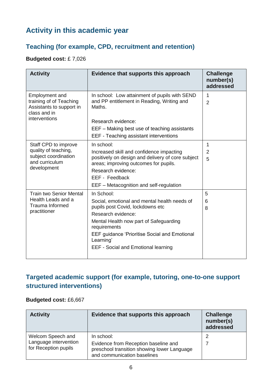## **Activity in this academic year**

#### **Teaching (for example, CPD, recruitment and retention)**

#### **Budgeted cost:** £ 7,026

| <b>Activity</b>                                                                                        | Evidence that supports this approach                                                                                                                                                                                                                                                              | <b>Challenge</b><br>number(s)<br>addressed |
|--------------------------------------------------------------------------------------------------------|---------------------------------------------------------------------------------------------------------------------------------------------------------------------------------------------------------------------------------------------------------------------------------------------------|--------------------------------------------|
| Employment and<br>training of of Teaching<br>Assistants to support in<br>class and in<br>interventions | In school: Low attainment of pupils with SEND<br>and PP entitlement in Reading, Writing and<br>Maths.<br>Research evidence:<br>EEF – Making best use of teaching assistants<br>EEF - Teaching assistant interventions                                                                             | 1<br>2                                     |
| Staff CPD to improve<br>quality of teaching,<br>subject coordination<br>and curriculum<br>development  | In school:<br>Increased skill and confidence impacting<br>positively on design and delivery of core subject<br>areas; improving outcomes for pupils.<br>Research evidence:<br>EEF - Feedback<br>EEF – Metacognition and self-regulation                                                           | 1<br>2<br>5                                |
| <b>Train two Senior Mental</b><br>Health Leads and a<br><b>Trauma Informed</b><br>practitioner         | In School:<br>Social, emotional and mental health needs of<br>pupils post Covid, lockdowns etc<br>Research evidence:<br>Mental Health now part of Safeguarding<br>requirements<br><b>EEF guidance 'Prioritise Social and Emotional</b><br>Learning'<br><b>EEF - Social and Emotional learning</b> | 5<br>6<br>8                                |

#### **Targeted academic support (for example, tutoring, one-to-one support structured interventions)**

#### **Budgeted cost:** £6,667

| <b>Activity</b>                               | Evidence that supports this approach                                                                               | <b>Challenge</b><br>number(s)<br>addressed |
|-----------------------------------------------|--------------------------------------------------------------------------------------------------------------------|--------------------------------------------|
| Welcom Speech and                             | In school:                                                                                                         |                                            |
| Language intervention<br>for Reception pupils | Evidence from Reception baseline and<br>preschool transition showing lower Language<br>and communication baselines |                                            |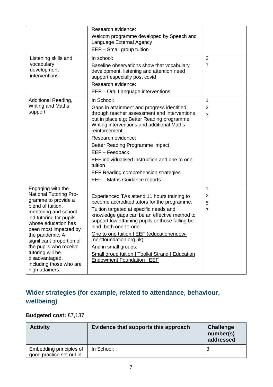|                                                                                                                       | Research evidence:                                                                                                                                                    |                |
|-----------------------------------------------------------------------------------------------------------------------|-----------------------------------------------------------------------------------------------------------------------------------------------------------------------|----------------|
|                                                                                                                       |                                                                                                                                                                       |                |
|                                                                                                                       | Welcom programme developed by Speech and<br>Language External Agency                                                                                                  |                |
|                                                                                                                       | EEF - Small group tuition                                                                                                                                             |                |
| Listening skills and                                                                                                  | In school:                                                                                                                                                            | $\overline{2}$ |
| vocabulary<br>development<br>interventions                                                                            | Baseline observations show that vocabulary<br>development, listening and attention need<br>support especially post covid<br>Research evidence:                        | $\overline{7}$ |
|                                                                                                                       | EEF - Oral Language interventions                                                                                                                                     |                |
| Additional Reading,                                                                                                   | In School:                                                                                                                                                            | 1              |
| <b>Writing and Maths</b>                                                                                              | Gaps in attainment and progress identified                                                                                                                            | $\overline{2}$ |
| support                                                                                                               | through teacher assessment and interventions<br>put in place e.g; Better Reading programme,<br>Writing interventions and additional Maths<br>reinforcement.           | 3              |
|                                                                                                                       | Research evidence:                                                                                                                                                    |                |
|                                                                                                                       | Better Reading Programme impact<br>EEF - Feedback                                                                                                                     |                |
|                                                                                                                       | EEF individualised instruction and one to one<br>tuition                                                                                                              |                |
|                                                                                                                       | <b>EEF Reading comprehension strategies</b>                                                                                                                           |                |
|                                                                                                                       | EEF - Maths Guidance reports                                                                                                                                          |                |
| Engaging with the                                                                                                     |                                                                                                                                                                       | 1              |
| <b>National Tutoring Pro-</b>                                                                                         | Experienced TAs attend 11 hours training to                                                                                                                           | 2              |
| gramme to provide a                                                                                                   | become accredited tutors for the programme.                                                                                                                           | 5              |
| blend of tuition,<br>mentoring and school-<br>led tutoring for pupils<br>whose education has<br>been most impacted by | Tuition targeted at specific needs and<br>knowledge gaps can be an effective method to<br>support low attaining pupils or those falling be-<br>hind, both one-to-one: | $\overline{7}$ |
| the pandemic. A<br>significant proportion of                                                                          | One to one tuition   EEF (educationendow-<br>mentfoundation.org.uk)                                                                                                   |                |
| the pupils who receive                                                                                                | And in small groups:                                                                                                                                                  |                |
| tutoring will be<br>disadvantaged,<br>including those who are                                                         | Small group tuition   Toolkit Strand   Education<br><b>Endowment Foundation   EEF</b>                                                                                 |                |
| high attainers.                                                                                                       |                                                                                                                                                                       |                |

## **Wider strategies (for example, related to attendance, behaviour, wellbeing)**

#### **Budgeted cost:** £7,137

| <b>Activity</b>                                     | Evidence that supports this approach | <b>Challenge</b><br>number(s)<br>addressed |
|-----------------------------------------------------|--------------------------------------|--------------------------------------------|
| Embedding principles of<br>good practice set out in | In School:                           |                                            |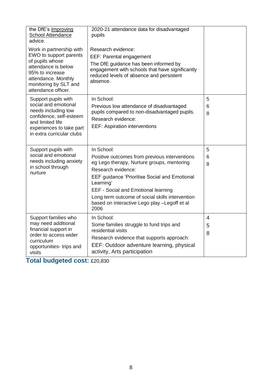| the DfE's Improving<br><b>School Attendance</b><br>advice.                                                                                                                             | 2020-21 attendance data for disadvantaged<br>pupils                                                                                                                                                                                                                                                                                                           |                          |
|----------------------------------------------------------------------------------------------------------------------------------------------------------------------------------------|---------------------------------------------------------------------------------------------------------------------------------------------------------------------------------------------------------------------------------------------------------------------------------------------------------------------------------------------------------------|--------------------------|
| Work in partnership with<br>EWO to support parents<br>of pupils whose<br>attendance is below<br>95% to increase<br>attendance. Monthly<br>monitoring by SLT and<br>attendance officer. | Research evidence:<br>EEF: Parental engagement<br>The DfE guidance has been informed by<br>engagement with schools that have significantly<br>reduced levels of absence and persistent<br>absence.                                                                                                                                                            |                          |
| Support pupils with<br>social and emotional<br>needs including low<br>confidence, self-esteem<br>and limited life<br>experiences to take part<br>in extra curricular clubs             | In School:<br>Previous low attendance of disadvantaged<br>pupils compared to non-disadvantaged pupils.<br>Research evidence:<br><b>EEF: Aspiration interventions</b>                                                                                                                                                                                          | 5<br>6<br>8              |
| Support pupils with<br>social and emotional<br>needs including anxiety<br>in school through<br>nurture                                                                                 | In School:<br>Positive outcomes from previous interventions<br>eg Lego therapy, Nurture groups, mentoring<br>Research evidence:<br><b>EEF guidance 'Prioritise Social and Emotional</b><br>Learning'<br><b>EEF - Social and Emotional learning</b><br>Long term outcome of social skills intervention<br>based on interactive Lego play -Legoff et al<br>2006 | 5<br>6<br>8              |
| Support families who<br>may need additional<br>financial support in<br>order to access wider<br>curriculum<br>opportunities- trips and<br>visits                                       | In School:<br>Some families struggle to fund trips and<br>residential visits<br>Research evidence that supports approach:<br>EEF: Outdoor adventure learning, physical<br>activity, Arts participation                                                                                                                                                        | $\overline{4}$<br>5<br>8 |

**Total budgeted cost:** £20,830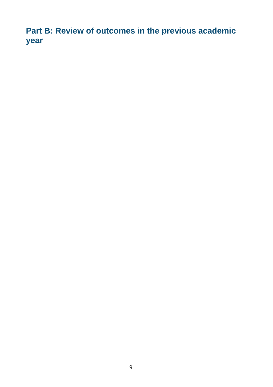**Part B: Review of outcomes in the previous academic year**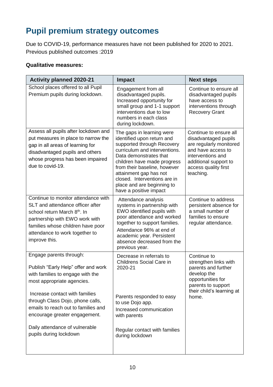# **Pupil premium strategy outcomes**

Due to COVID-19, performance measures have not been published for 2020 to 2021. Previous published outcomes :2019

#### **Qualitative measures:**

| <b>Activity planned 2020-21</b>                                                                                                                                                                                                                                                                                                            | <b>Impact</b>                                                                                                                                                                                                                                                                                                                     | <b>Next steps</b>                                                                                                                                                                  |
|--------------------------------------------------------------------------------------------------------------------------------------------------------------------------------------------------------------------------------------------------------------------------------------------------------------------------------------------|-----------------------------------------------------------------------------------------------------------------------------------------------------------------------------------------------------------------------------------------------------------------------------------------------------------------------------------|------------------------------------------------------------------------------------------------------------------------------------------------------------------------------------|
| School places offered to all Pupil<br>Premium pupils during lockdown.                                                                                                                                                                                                                                                                      | Engagement from all<br>disadvantaged pupils.<br>Increased opportunity for<br>small group and 1-1 support<br>interventions due to low<br>numbers in each class<br>during lockdown.                                                                                                                                                 | Continue to ensure all<br>disadvantaged pupils<br>have access to<br>interventions through<br><b>Recovery Grant</b>                                                                 |
| Assess all pupils after lockdown and<br>put measures in place to narrow the<br>gap in all areas of learning for<br>disadvantaged pupils and others<br>whose progress has been impaired<br>due to covid-19.                                                                                                                                 | The gaps in learning were<br>identified upon return and<br>supported through Recovery<br>curriculum and interventions.<br>Data demonstrates that<br>children have made progress<br>from their baseline, however<br>attainment gap has not<br>closed. Interventions are in<br>place and are beginning to<br>have a positive impact | Continue to ensure all<br>disadvantaged pupils<br>are regularly monitored<br>and have access to<br>interventions and<br>additional support to<br>access quality first<br>teaching. |
| Continue to monitor attendance with<br>SLT and attendance officer after<br>school return March 8 <sup>th</sup> . In<br>partnership with EWO work with<br>families whose children have poor<br>attendance to work together to<br>improve this.                                                                                              | Attendance analysis<br>systems in partnership with<br>EWO identified pupils with<br>poor attendance and worked<br>together to support families.<br>Attendance 96% at end of<br>academic year. Persistent<br>absence decreased from the<br>previous year.                                                                          | Continue to address<br>persistent absence for<br>a small number of<br>families to ensure<br>regular attendance.                                                                    |
| Engage parents through:<br>Publish "Early Help" offer and work<br>with families to engage with the<br>most appropriate agencies.<br>Increase contact with families<br>through Class Dojo, phone calls,<br>emails to reach out to families and<br>encourage greater engagement.<br>Daily attendance of vulnerable<br>pupils during lockdown | Decrease in referrals to<br><b>Childrens Social Care in</b><br>2020-21<br>Parents responded to easy<br>to use Dojo app.<br>Increased communication<br>with parents<br>Regular contact with families<br>during lockdown                                                                                                            | Continue to<br>strengthen links with<br>parents and further<br>develop the<br>opportunities for<br>parents to support<br>their child's learning at<br>home.                        |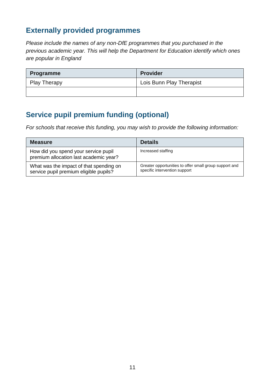### **Externally provided programmes**

*Please include the names of any non-DfE programmes that you purchased in the previous academic year. This will help the Department for Education identify which ones are popular in England*

| <b>Programme</b>    | <b>Provider</b>          |
|---------------------|--------------------------|
| <b>Play Therapy</b> | Lois Bunn Play Therapist |
|                     |                          |

## **Service pupil premium funding (optional)**

*For schools that receive this funding, you may wish to provide the following information:* 

| <b>Measure</b>                                                                    | <b>Details</b>                                                                          |
|-----------------------------------------------------------------------------------|-----------------------------------------------------------------------------------------|
| How did you spend your service pupil<br>premium allocation last academic year?    | Increased staffing                                                                      |
| What was the impact of that spending on<br>service pupil premium eligible pupils? | Greater opportunities to offer small group support and<br>specific intervention support |